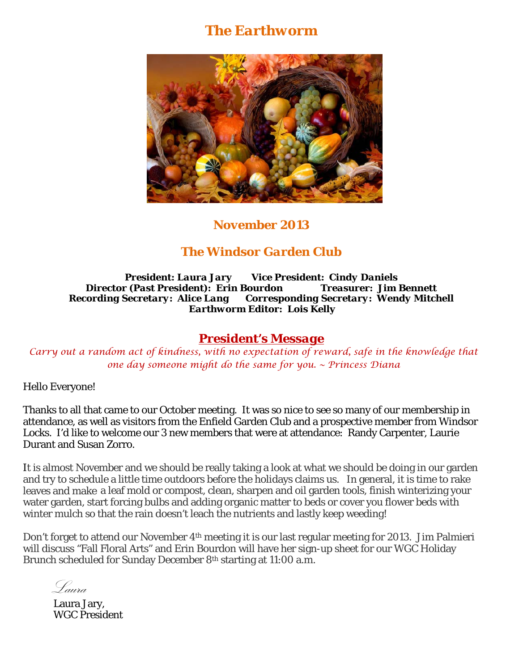# *The Earthworm*



## *November 2013*

## *The Windsor Garden Club*

*President: Laura Jary Vice President: Cindy Daniels Director (Past President): Erin Bourdon Treasurer: Jim Bennett Recording Secretary: Alice Lang Corresponding Secretary: Wendy Mitchell Earthworm Editor: Lois Kelly* 

#### *President's Message*

*Carry out a random act of kindness, with no expectation of reward, safe in the knowledge that one day someone might do the same for you. ~ Princess Diana* 

Hello Everyone!

Thanks to all that came to our October meeting. It was so nice to see so many of our membership in attendance, as well as visitors from the Enfield Garden Club and a prospective member from Windsor Locks. I'd like to welcome our 3 new members that were at attendance: Randy Carpenter, Laurie Durant and Susan Zorro.

It is almost November and we should be really taking a look at what we should be doing in our garden and try to schedule a little time outdoors before the holidays claims us. In general, it is time to rake leaves and make a leaf mold or compost, clean, sharpen and oil garden tools, finish winterizing your water garden, start forcing bulbs and adding organic matter to beds or cover you flower beds with winter mulch so that the rain doesn't leach the nutrients and lastly keep weeding!

Don't forget to attend our November 4<sup>th</sup> meeting it is our last regular meeting for 2013. Jim Palmieri will discuss "Fall Floral Arts" and Erin Bourdon will have her sign-up sheet for our WGC Holiday Brunch scheduled for Sunday December 8th starting at 11:00 a.m.

Laura

Laura Jary, WGC President